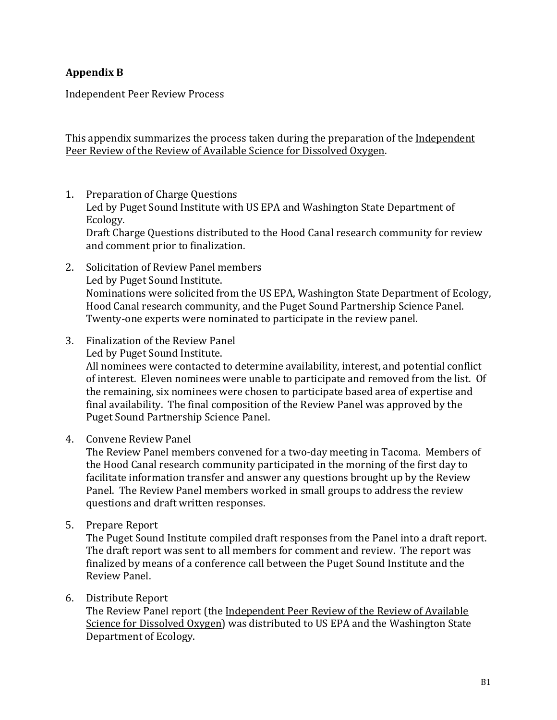## **Appendix(B**

Independent Peer Review Process

This appendix summarizes the process taken during the preparation of the Independent Peer Review of the Review of Available Science for Dissolved Oxygen.

- 1. Preparation of Charge Questions Led by Puget Sound Institute with US EPA and Washington State Department of Ecology. Draft Charge Questions distributed to the Hood Canal research community for review and comment prior to finalization.
- 2. Solicitation of Review Panel members Led by Puget Sound Institute. Nominations were solicited from the US EPA, Washington State Department of Ecology, Hood Canal research community, and the Puget Sound Partnership Science Panel. Twenty-one experts were nominated to participate in the review panel.
- 3. Finalization of the Review Panel

Led by Puget Sound Institute.

All nominees were contacted to determine availability, interest, and potential conflict of interest. Eleven nominees were unable to participate and removed from the list. Of the remaining, six nominees were chosen to participate based area of expertise and final availability. The final composition of the Review Panel was approved by the Puget Sound Partnership Science Panel.

4. Convene Review Panel

The Review Panel members convened for a two-day meeting in Tacoma. Members of the Hood Canal research community participated in the morning of the first day to facilitate information transfer and answer any questions brought up by the Review Panel. The Review Panel members worked in small groups to address the review questions and draft written responses.

5. Prepare Report

The Puget Sound Institute compiled draft responses from the Panel into a draft report. The draft report was sent to all members for comment and review. The report was finalized by means of a conference call between the Puget Sound Institute and the Review Panel.

6. Distribute Report

The Review Panel report (the Independent Peer Review of the Review of Available Science for Dissolved Oxygen) was distributed to US EPA and the Washington State Department of Ecology.